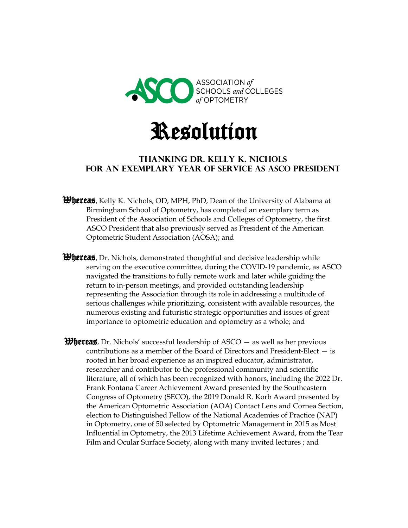



## **Thanking Dr. Kelly K. Nichols for an Exemplary Year of Service as ASCO President**

- *Whereas*, Kelly K. Nichols, OD, MPH, PhD, Dean of the University of Alabama at Birmingham School of Optometry, has completed an exemplary term as President of the Association of Schools and Colleges of Optometry, the first ASCO President that also previously served as President of the American Optometric Student Association (AOSA); and
- *Whereas*, Dr. Nichols, demonstrated thoughtful and decisive leadership while serving on the executive committee, during the COVID-19 pandemic, as ASCO navigated the transitions to fully remote work and later while guiding the return to in-person meetings, and provided outstanding leadership representing the Association through its role in addressing a multitude of serious challenges while prioritizing, consistent with available resources, the numerous existing and futuristic strategic opportunities and issues of great importance to optometric education and optometry as a whole; and
- **Whereas**, Dr. Nichols' successful leadership of  $ASCO -$  as well as her previous contributions as a member of the Board of Directors and President-Elect — is rooted in her broad experience as an inspired educator, administrator, researcher and contributor to the professional community and scientific literature, all of which has been recognized with honors, including the 2022 Dr. Frank Fontana Career Achievement Award presented by the Southeastern Congress of Optometry (SECO), the 2019 Donald R. Korb Award presented by the American Optometric Association (AOA) Contact Lens and Cornea Section, election to Distinguished Fellow of the National Academies of Practice (NAP) in Optometry, one of 50 selected by Optometric Management in 2015 as Most Influential in Optometry, the 2013 Lifetime Achievement Award, from the Tear Film and Ocular Surface Society, along with many invited lectures ; and